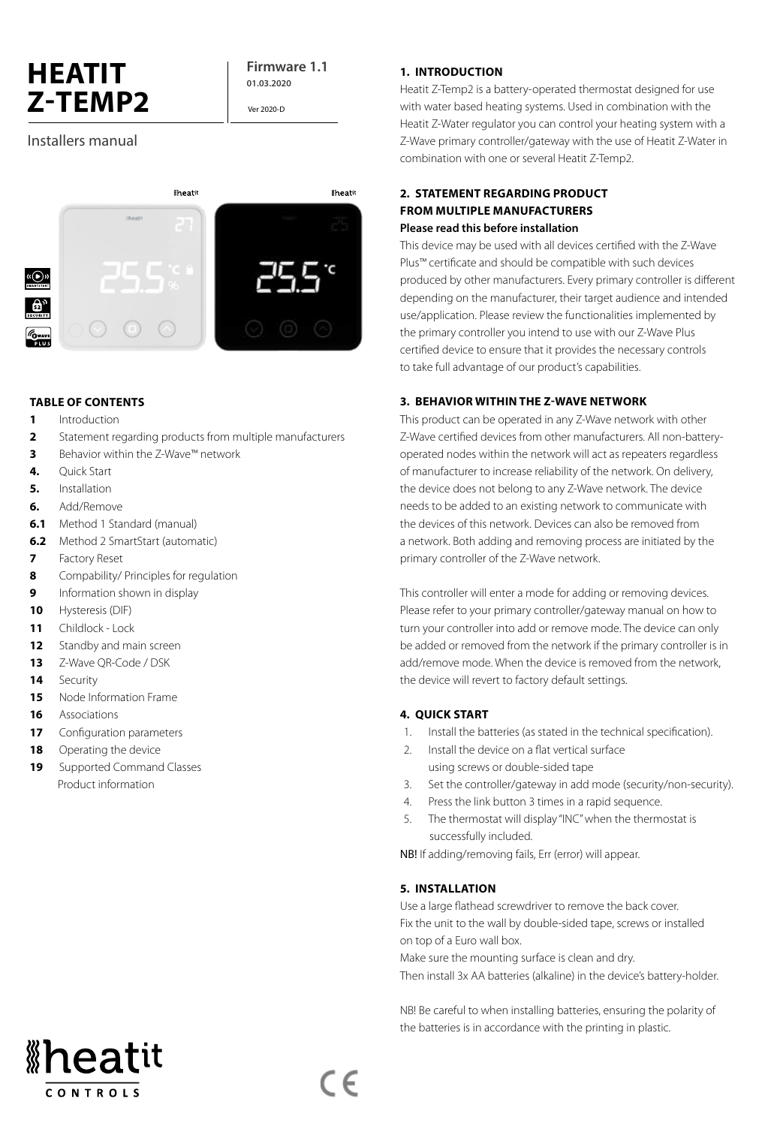# **HEATIT Z-TEMP2**

**Firmware 1.1 01.03.2020**

Ver 2020-D

## Installers manual



### **TABLE OF CONTENTS**

- **1** Introduction
- **2** Statement regarding products from multiple manufacturers
- **3** Behavior within the Z-Wave™ network
- **4.** Quick Start
- **5.** Installation
- **6.** Add/Remove
- **6.1** Method 1 Standard (manual)
- **6.2** Method 2 SmartStart (automatic)
- **7** Factory Reset
- **8** Compability/ Principles for regulation
- **9 Information shown in display**
- **10** Hysteresis (DIF)
- **11** Childlock Lock
- 12 Standby and main screen
- **13** Z-Wave QR-Code / DSK
- **14** Security
- **15** Node Information Frame
- **16** Associations
- **17** Configuration parameters
- **18** Operating the device
- **19** Supported Command Classes Product information

### **1. INTRODUCTION**

Heatit Z-Temp2 is a battery-operated thermostat designed for use with water based heating systems. Used in combination with the Heatit Z-Water regulator you can control your heating system with a Z-Wave primary controller/gateway with the use of Heatit Z-Water in combination with one or several Heatit Z-Temp2.

### **2. STATEMENT REGARDING PRODUCT FROM MULTIPLE MANUFACTURERS Please read this before installation**

This device may be used with all devices certified with the Z-Wave Plus™ certificate and should be compatible with such devices produced by other manufacturers. Every primary controller is different depending on the manufacturer, their target audience and intended use/application. Please review the functionalities implemented by the primary controller you intend to use with our Z-Wave Plus certified device to ensure that it provides the necessary controls to take full advantage of our product's capabilities.

### **3. BEHAVIOR WITHIN THE Z-WAVE NETWORK**

This product can be operated in any Z-Wave network with other Z-Wave certified devices from other manufacturers. All non-batteryoperated nodes within the network will act as repeaters regardless of manufacturer to increase reliability of the network. On delivery, the device does not belong to any Z-Wave network. The device needs to be added to an existing network to communicate with the devices of this network. Devices can also be removed from a network. Both adding and removing process are initiated by the primary controller of the Z-Wave network.

This controller will enter a mode for adding or removing devices. Please refer to your primary controller/gateway manual on how to turn your controller into add or remove mode. The device can only be added or removed from the network if the primary controller is in add/remove mode. When the device is removed from the network, the device will revert to factory default settings.

### **4. QUICK START**

- 1. Install the batteries (as stated in the technical specification).
- 2. Install the device on a flat vertical surface using screws or double-sided tape
- 3. Set the controller/gateway in add mode (security/non-security).
- 4. Press the link button 3 times in a rapid sequence.
- 5. The thermostat will display "INC" when the thermostat is successfully included.

NB! If adding/removing fails, Err (error) will appear.

### **5. INSTALLATION**

Use a large flathead screwdriver to remove the back cover. Fix the unit to the wall by double-sided tape, screws or installed on top of a Euro wall box.

Make sure the mounting surface is clean and dry.

Then install 3x AA batteries (alkaline) in the device's battery-holder.

NB! Be careful to when installing batteries, ensuring the polarity of the batteries is in accordance with the printing in plastic.



 $\epsilon$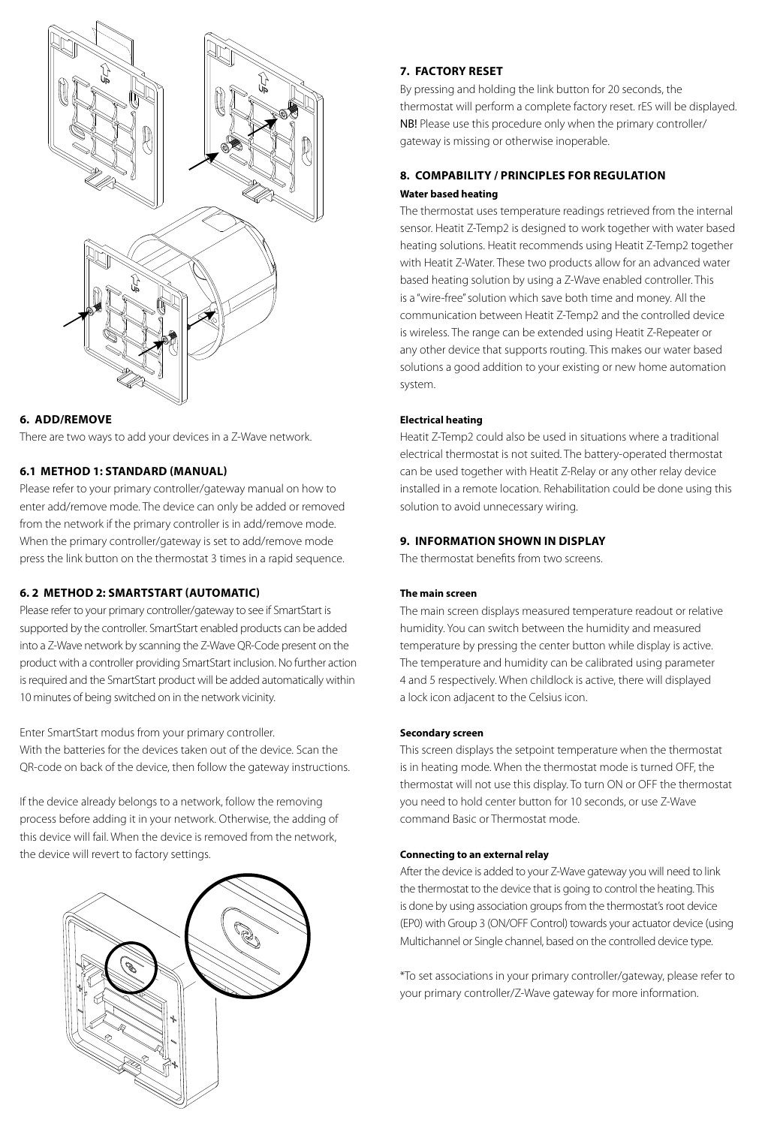

### **6. ADD/REMOVE**

There are two ways to add your devices in a Z-Wave network.

### **6.1 METHOD 1: STANDARD (MANUAL)**

Please refer to your primary controller/gateway manual on how to enter add/remove mode. The device can only be added or removed from the network if the primary controller is in add/remove mode. When the primary controller/gateway is set to add/remove mode press the link button on the thermostat 3 times in a rapid sequence.

### **6. 2 METHOD 2: SMARTSTART (AUTOMATIC)**

Please refer to your primary controller/gateway to see if SmartStart is supported by the controller. SmartStart enabled products can be added into a Z-Wave network by scanning the Z-Wave QR-Code present on the product with a controller providing SmartStart inclusion. No further action is required and the SmartStart product will be added automatically within 10 minutes of being switched on in the network vicinity.

Enter SmartStart modus from your primary controller.

With the batteries for the devices taken out of the device. Scan the QR-code on back of the device, then follow the gateway instructions.

If the device already belongs to a network, follow the removing process before adding it in your network. Otherwise, the adding of this device will fail. When the device is removed from the network, the device will revert to factory settings.



### **7. FACTORY RESET**

By pressing and holding the link button for 20 seconds, the thermostat will perform a complete factory reset. rES will be displayed. NB! Please use this procedure only when the primary controller/ gateway is missing or otherwise inoperable.

### **8. COMPABILITY / PRINCIPLES FOR REGULATION Water based heating**

The thermostat uses temperature readings retrieved from the internal sensor. Heatit Z-Temp2 is designed to work together with water based heating solutions. Heatit recommends using Heatit Z-Temp2 together with Heatit Z-Water. These two products allow for an advanced water based heating solution by using a Z-Wave enabled controller. This is a "wire-free" solution which save both time and money. All the communication between Heatit Z-Temp2 and the controlled device is wireless. The range can be extended using Heatit Z-Repeater or any other device that supports routing. This makes our water based solutions a good addition to your existing or new home automation system.

### **Electrical heating**

Heatit Z-Temp2 could also be used in situations where a traditional electrical thermostat is not suited. The battery-operated thermostat can be used together with Heatit Z-Relay or any other relay device installed in a remote location. Rehabilitation could be done using this solution to avoid unnecessary wiring.

### **9. INFORMATION SHOWN IN DISPLAY**

The thermostat benefits from two screens.

### **The main screen**

The main screen displays measured temperature readout or relative humidity. You can switch between the humidity and measured temperature by pressing the center button while display is active. The temperature and humidity can be calibrated using parameter 4 and 5 respectively. When childlock is active, there will displayed a lock icon adjacent to the Celsius icon.

### **Secondary screen**

This screen displays the setpoint temperature when the thermostat is in heating mode. When the thermostat mode is turned OFF, the thermostat will not use this display. To turn ON or OFF the thermostat you need to hold center button for 10 seconds, or use Z-Wave command Basic or Thermostat mode.

### **Connecting to an external relay**

After the device is added to your Z-Wave gateway you will need to link the thermostat to the device that is going to control the heating. This is done by using association groups from the thermostat's root device (EP0) with Group 3 (ON/OFF Control) towards your actuator device (using Multichannel or Single channel, based on the controlled device type.

\*To set associations in your primary controller/gateway, please refer to your primary controller/Z-Wave gateway for more information.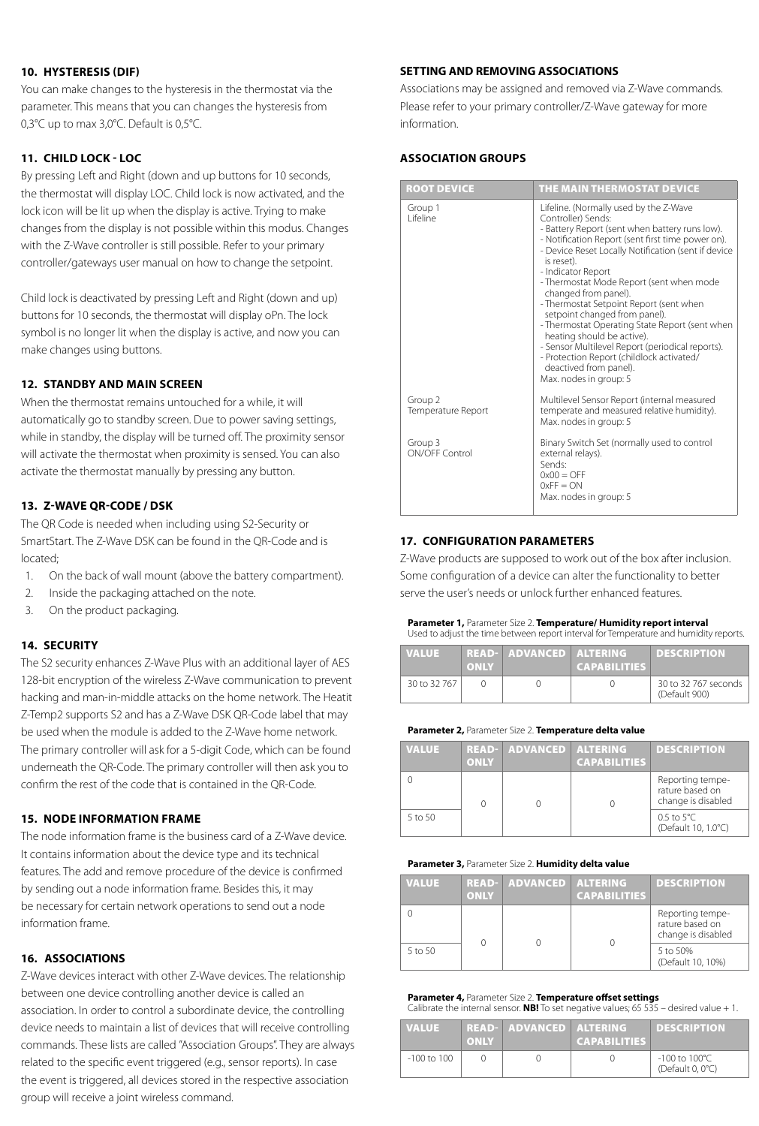### **10. HYSTERESIS (DIF)**

You can make changes to the hysteresis in the thermostat via the parameter. This means that you can changes the hysteresis from 0,3°C up to max 3,0°C. Default is 0,5°C.

### **11. CHILD LOCK - LOC**

By pressing Left and Right (down and up buttons for 10 seconds, the thermostat will display LOC. Child lock is now activated, and the lock icon will be lit up when the display is active. Trying to make changes from the display is not possible within this modus. Changes with the Z-Wave controller is still possible. Refer to your primary controller/gateways user manual on how to change the setpoint.

Child lock is deactivated by pressing Left and Right (down and up) buttons for 10 seconds, the thermostat will display oPn. The lock symbol is no longer lit when the display is active, and now you can make changes using buttons.

### **12. STANDBY AND MAIN SCREEN**

When the thermostat remains untouched for a while, it will automatically go to standby screen. Due to power saving settings, while in standby, the display will be turned off. The proximity sensor will activate the thermostat when proximity is sensed. You can also activate the thermostat manually by pressing any button.

### **13. Z-WAVE QR-CODE / DSK**

The QR Code is needed when including using S2-Security or SmartStart. The Z-Wave DSK can be found in the QR-Code and is located;

- 1. On the back of wall mount (above the battery compartment).
- 2. Inside the packaging attached on the note.
- 3. On the product packaging.

#### **14. SECURITY**

The S2 security enhances Z-Wave Plus with an additional layer of AES 128-bit encryption of the wireless Z-Wave communication to prevent hacking and man-in-middle attacks on the home network. The Heatit Z-Temp2 supports S2 and has a Z-Wave DSK QR-Code label that may be used when the module is added to the Z-Wave home network. The primary controller will ask for a 5-digit Code, which can be found underneath the QR-Code. The primary controller will then ask you to confirm the rest of the code that is contained in the QR-Code.

#### **15. NODE INFORMATION FRAME**

The node information frame is the business card of a Z-Wave device. It contains information about the device type and its technical features. The add and remove procedure of the device is confirmed by sending out a node information frame. Besides this, it may be necessary for certain network operations to send out a node information frame.

### **16. ASSOCIATIONS**

Z-Wave devices interact with other Z-Wave devices. The relationship between one device controlling another device is called an association. In order to control a subordinate device, the controlling device needs to maintain a list of devices that will receive controlling commands. These lists are called "Association Groups". They are always related to the specific event triggered (e.g., sensor reports). In case the event is triggered, all devices stored in the respective association group will receive a joint wireless command.

#### **SETTING AND REMOVING ASSOCIATIONS**

Associations may be assigned and removed via Z-Wave commands. Please refer to your primary controller/Z-Wave gateway for more information.

### **ASSOCIATION GROUPS**

| <b>ROOT DEVICE</b>            | THE MAIN THERMOSTAT DEVICE                                                                                                                                                                                                                                                                                                                                                                                                                                                                                                                                                                                                                          |
|-------------------------------|-----------------------------------------------------------------------------------------------------------------------------------------------------------------------------------------------------------------------------------------------------------------------------------------------------------------------------------------------------------------------------------------------------------------------------------------------------------------------------------------------------------------------------------------------------------------------------------------------------------------------------------------------------|
| Group 1<br>l ifeline          | Lifeline. (Normally used by the Z-Wave<br>Controller) Sends:<br>- Battery Report (sent when battery runs low).<br>- Notification Report (sent first time power on).<br>- Device Reset Locally Notification (sent if device<br>is reset).<br>- Indicator Report<br>- Thermostat Mode Report (sent when mode<br>changed from panel).<br>- Thermostat Setpoint Report (sent when<br>setpoint changed from panel).<br>- Thermostat Operating State Report (sent when<br>heating should be active).<br>- Sensor Multilevel Report (periodical reports).<br>- Protection Report (childlock activated/<br>deactived from panel).<br>Max. nodes in group: 5 |
| Group 2<br>Temperature Report | Multilevel Sensor Report (internal measured<br>temperate and measured relative humidity).<br>Max. nodes in group: 5                                                                                                                                                                                                                                                                                                                                                                                                                                                                                                                                 |
| Group 3<br>ON/OFF Control     | Binary Switch Set (normally used to control<br>external relays).<br>Sends:<br>$0x00 = OFF$<br>$0xFF = ON$<br>Max. nodes in group: 5                                                                                                                                                                                                                                                                                                                                                                                                                                                                                                                 |

### **17. CONFIGURATION PARAMETERS**

Z-Wave products are supposed to work out of the box after inclusion. Some configuration of a device can alter the functionality to better serve the user's needs or unlock further enhanced features.

#### **Parameter 1,** Parameter Size 2. **Temperature/ Humidity report interval** Used to adjust the time between report interval for Temperature and humidity reports.

| <b>VALUE</b> | <b>ONLY</b> | READ- ADVANCED ALTERING | <b>CAPABILITIES</b> | <b>DESCRIPTION</b>                    |
|--------------|-------------|-------------------------|---------------------|---------------------------------------|
| 30 to 32 767 |             |                         |                     | 30 to 32 767 seconds<br>(Default 900) |

#### **Parameter 2,** Parameter Size 2. **Temperature delta value**

| <b>VALUE</b> | <b>ONLY</b> | <b>READ- ADVANCED ALTERING</b> | <b>CAPABILITIES</b> | <b>DESCRIPTION</b>                                        |
|--------------|-------------|--------------------------------|---------------------|-----------------------------------------------------------|
|              |             |                                |                     | Reporting tempe-<br>rature based on<br>change is disabled |
| 5 to 50      |             |                                |                     | $0.5$ to $5^{\circ}$ C.<br>(Default 10, 1.0°C)            |

#### **Parameter 3,** Parameter Size 2. **Humidity delta value**

| <b>VALUE</b> | <b>ONLY</b> | <b>READ- ADVANCED ALTERING</b> | <b>CAPABILITIES</b> | <b>DESCRIPTION</b>                                        |
|--------------|-------------|--------------------------------|---------------------|-----------------------------------------------------------|
|              |             |                                |                     | Reporting tempe-<br>rature based on<br>change is disabled |
| 5 to 50      |             |                                |                     | 5 to 50%<br>(Default 10, 10%)                             |

#### **Parameter 4,** Parameter Size 2. **Temperature offset settings** Calibrate the internal sensor. **NB!** To set negative values; 65 535 – desired value + 1.

| <b>VALUE</b> | <b>ONLY</b> | <b>READ- ADVANCED ALTERING</b> | <b>CAPABILITIES</b> | <b>DESCRIPTION</b>                                     |
|--------------|-------------|--------------------------------|---------------------|--------------------------------------------------------|
| -100 to 100  |             |                                |                     | $-100$ to $100^{\circ}$ C<br>(Default $0,0^{\circ}$ C) |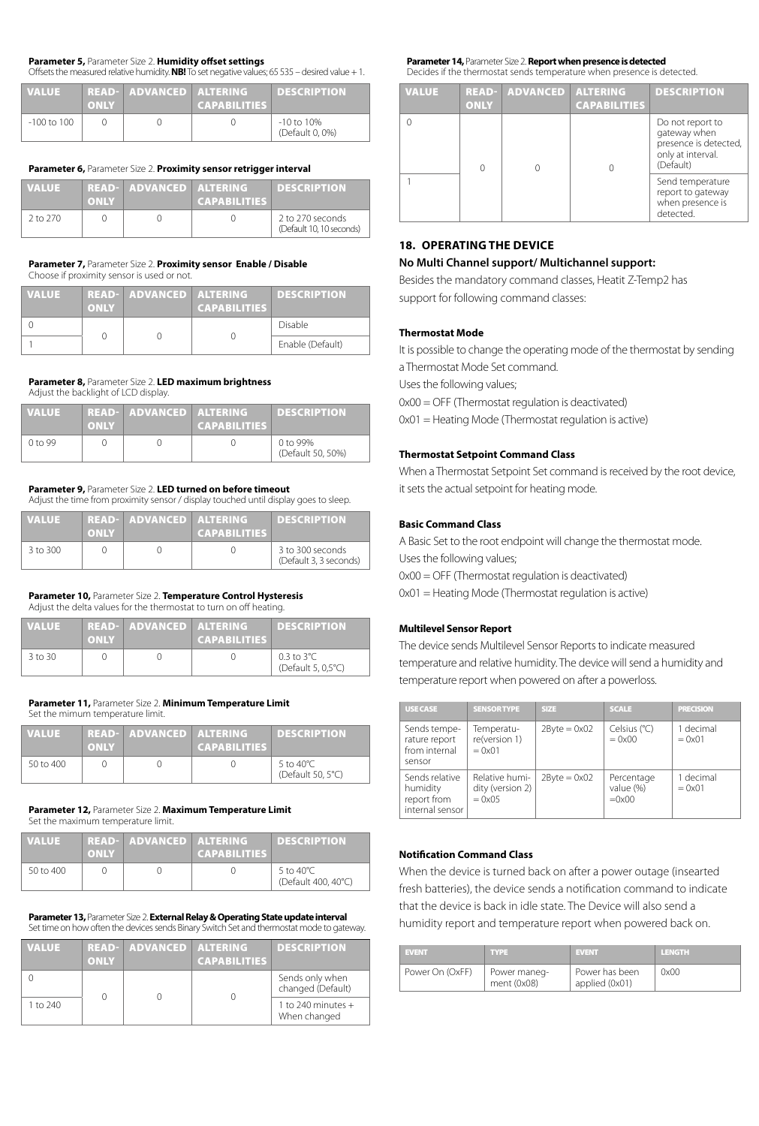#### **Parameter 5,** Parameter Size 2. **Humidity offset settings** Offsets the measured relative humidity. **NB!** To set negative values; 65 535 – desired value + 1.

| <b>VALUE</b>    | <b>ONLY</b> | READ- ADVANCED ALTERING | <b>CAPABILITIES</b> | <b>DESCRIPTION</b>                 |
|-----------------|-------------|-------------------------|---------------------|------------------------------------|
| $-100$ to $100$ |             |                         |                     | $-10$ to $10\%$<br>(Default 0, 0%) |

#### **Parameter 6,** Parameter Size 2. **Proximity sensor retrigger interval**

| <b>VALUE</b> | <b>ONLY</b> | <b>READ- ADVANCED ALTERING</b> | <b>CAPABILITIES</b> | <b>DESCRIPTION</b>                           |
|--------------|-------------|--------------------------------|---------------------|----------------------------------------------|
| 2 to 270     |             |                                |                     | 2 to 270 seconds<br>(Default 10, 10 seconds) |

#### **Parameter 7,** Parameter Size 2. **Proximity sensor Enable / Disable** Choose if proximity sensor is used or not.

| <b>VALUE</b> | <b>ONLY</b> | <b>READ- ADVANCED ALTERING</b> | <b>CAPABILITIES</b> | <b>DESCRIPTION</b> |
|--------------|-------------|--------------------------------|---------------------|--------------------|
|              |             |                                |                     | Disable            |
|              |             |                                |                     | Enable (Default)   |

#### **Parameter 8,** Parameter Size 2. **LED maximum brightness** Adjust the backlight of LCD display.

| <b>VALUE</b>       | <b>ONLY</b> | READ- ADVANCED ALTERING | <b>CAPABILITIES</b> | <b>DESCRIPTION</b>            |
|--------------------|-------------|-------------------------|---------------------|-------------------------------|
| 0 <sub>to</sub> 99 |             |                         |                     | 0 to 99%<br>(Default 50, 50%) |

### **Parameter 9,** Parameter Size 2. **LED turned on before timeout**

Adjust the time from proximity sensor / display touched until display goes to sleep.

| <b>VALUE</b> | <b>ONLY</b> | READ- ADVANCED ALTERING | <b>CAPABILITIES</b> | <b>DESCRIPTION</b>                         |
|--------------|-------------|-------------------------|---------------------|--------------------------------------------|
| 3 to 300     |             |                         |                     | 3 to 300 seconds<br>(Default 3, 3 seconds) |

#### **Parameter 10,** Parameter Size 2. **Temperature Control Hysteresis** Adjust the delta values for the thermostat to turn on off heating.

| <b>VALUE</b> | <b>ONLY</b> | <b>READ- ADVANCED ALTERING</b> | <b>CAPABILITIES</b> | <b>DESCRIPTION</b>                           |
|--------------|-------------|--------------------------------|---------------------|----------------------------------------------|
| 3 to 30      |             |                                |                     | $0.3$ to $3^{\circ}$ C<br>(Default 5, 0.5°C) |

#### **Parameter 11,** Parameter Size 2. **Minimum Temperature Limit** Set the mimum temperature limit.

| <b>VALUE</b>  | <b>ONLY</b> | READ- ADVANCED ALTERING | <b>CAPABILITIES</b> | <b>DESCRIPTION</b>                        |
|---------------|-------------|-------------------------|---------------------|-------------------------------------------|
| $50$ to $400$ |             |                         |                     | 5 to 40 $^{\circ}$ C<br>(Default 50, 5°C) |

#### **Parameter 12,** Parameter Size 2. **Maximum Temperature Limit** Set the maximum temperature limit.

| <b>VALUE</b> | <b>ONLY</b> | READ- ADVANCED ALTERING | <b>CAPABILITIES</b> | <b>DESCRIPTION</b>                          |
|--------------|-------------|-------------------------|---------------------|---------------------------------------------|
| 50 to 400    |             |                         |                     | 5 to 40 $^{\circ}$ C<br>(Default 400, 40°C) |

#### **Parameter 13,** Parameter Size 2. **External Relay & Operating State update interval**  Set time on how often the devices sends Binary Switch Set and thermostat mode to gateway.

| <b>VALUE</b> | <b>ONLY</b> | <b>READ- ADVANCED ALTERING</b> | <b>CAPABILITIES</b> | <b>DESCRIPTION</b>                   |
|--------------|-------------|--------------------------------|---------------------|--------------------------------------|
|              |             |                                |                     | Sends only when<br>changed (Default) |
| 1 to 240     |             |                                |                     | 1 to 240 minutes $+$<br>When changed |

#### **Parameter 14,** Parameter Size 2. **Report when presence is detected** Decides if the thermostat sends temperature when presence is detected.

| <b>VALUE</b> | <b>READ-</b><br><b>ONLY</b> | <b>ADVANCED</b> | <b>ALTERING</b><br><b>CAPABILITIES</b> | <b>DESCRIPTION</b>                                                                          |
|--------------|-----------------------------|-----------------|----------------------------------------|---------------------------------------------------------------------------------------------|
|              |                             |                 |                                        | Do not report to<br>gateway when<br>presence is detected,<br>only at interval.<br>(Default) |
|              |                             |                 |                                        | Send temperature<br>report to gateway<br>when presence is<br>detected.                      |

### **18. OPERATING THE DEVICE**

### **No Multi Channel support/ Multichannel support:**

Besides the mandatory command classes, Heatit Z-Temp2 has support for following command classes:

### **Thermostat Mode**

It is possible to change the operating mode of the thermostat by sending a Thermostat Mode Set command.

Uses the following values;

0x00 = OFF (Thermostat regulation is deactivated)

0x01 = Heating Mode (Thermostat regulation is active)

### **Thermostat Setpoint Command Class**

When a Thermostat Setpoint Set command is received by the root device, it sets the actual setpoint for heating mode.

### **Basic Command Class**

A Basic Set to the root endpoint will change the thermostat mode. Uses the following values; 0x00 = OFF (Thermostat regulation is deactivated)

0x01 = Heating Mode (Thermostat regulation is active)

### **Multilevel Sensor Report**

The device sends Multilevel Sensor Reports to indicate measured temperature and relative humidity. The device will send a humidity and temperature report when powered on after a powerloss.

| <b>USE CASE</b>                                              | <b>SENSOR TYPE</b>                                     | <b>SIZE</b>              | <b>SCALE</b>                              | <b>PRECISION</b>             |
|--------------------------------------------------------------|--------------------------------------------------------|--------------------------|-------------------------------------------|------------------------------|
| Sends tempe-<br>rature report<br>from internal<br>sensor     | Temperatu-<br>re(version 1)<br>$= 0 \times 01$         | $2B$ yte = $0 \times 02$ | Celsius (°C)<br>$= 0 \times 00$           | 1 decimal<br>$= 0x01$        |
| Sends relative<br>humidity<br>report from<br>internal sensor | Relative humi-<br>dity (version 2)<br>$= 0 \times 0.5$ | $2B$ yte = $0 \times 02$ | Percentage<br>value (%)<br>$=0 \times 00$ | 1 decimal<br>$= 0 \times 01$ |

### **Notification Command Class**

When the device is turned back on after a power outage (insearted fresh batteries), the device sends a notification command to indicate that the device is back in idle state. The Device will also send a humidity report and temperature report when powered back on.

| <b>EVENT</b>    | <b>TYPE</b>                   | <b>EVENT</b>                     | LENGTH |
|-----------------|-------------------------------|----------------------------------|--------|
| Power On (OxFF) | Power maneg-<br>ment $(0x08)$ | Power has been<br>applied (0x01) | 0x00   |